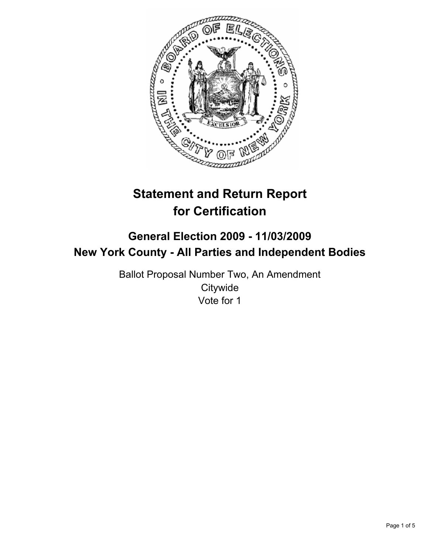

# **Statement and Return Report for Certification**

# **General Election 2009 - 11/03/2009 New York County - All Parties and Independent Bodies**

Ballot Proposal Number Two, An Amendment **Citywide** Vote for 1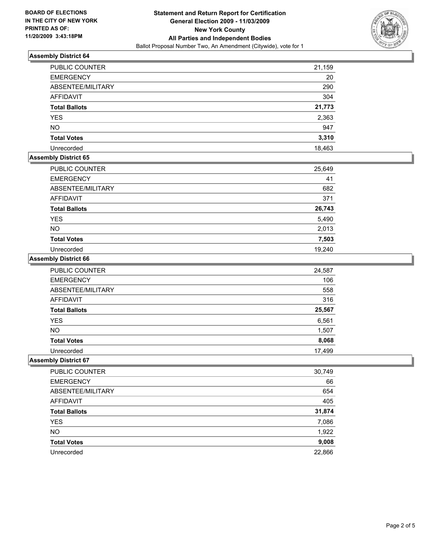

# **Assembly District 64**

| PUBLIC COUNTER       | 21,159 |
|----------------------|--------|
| <b>EMERGENCY</b>     | 20     |
| ABSENTEE/MILITARY    | 290    |
| AFFIDAVIT            | 304    |
| <b>Total Ballots</b> | 21,773 |
| <b>YES</b>           | 2,363  |
| <b>NO</b>            | 947    |
| <b>Total Votes</b>   | 3,310  |
| Unrecorded           | 18,463 |

# **Assembly District 65**

| PUBLIC COUNTER       | 25,649 |
|----------------------|--------|
| <b>EMERGENCY</b>     | 41     |
| ABSENTEE/MILITARY    | 682    |
| <b>AFFIDAVIT</b>     | 371    |
| <b>Total Ballots</b> | 26,743 |
| <b>YES</b>           | 5,490  |
| <b>NO</b>            | 2,013  |
| <b>Total Votes</b>   | 7,503  |
| Unrecorded           | 19,240 |

#### **Assembly District 66**

| <b>PUBLIC COUNTER</b> | 24,587 |
|-----------------------|--------|
| <b>EMERGENCY</b>      | 106    |
| ABSENTEE/MILITARY     | 558    |
| <b>AFFIDAVIT</b>      | 316    |
| <b>Total Ballots</b>  | 25,567 |
| <b>YES</b>            | 6,561  |
| <b>NO</b>             | 1,507  |
| <b>Total Votes</b>    | 8,068  |
| Unrecorded            | 17,499 |

# **Assembly District 67**

| PUBLIC COUNTER       | 30,749 |
|----------------------|--------|
| <b>EMERGENCY</b>     | 66     |
| ABSENTEE/MILITARY    | 654    |
| AFFIDAVIT            | 405    |
| <b>Total Ballots</b> | 31,874 |
| <b>YES</b>           | 7,086  |
| <b>NO</b>            | 1,922  |
| <b>Total Votes</b>   | 9,008  |
| Unrecorded           | 22,866 |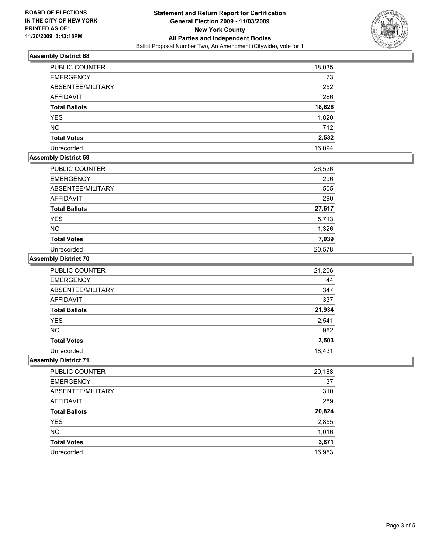

# **Assembly District 68**

| <b>PUBLIC COUNTER</b> | 18,035 |
|-----------------------|--------|
| <b>EMERGENCY</b>      | 73     |
| ABSENTEE/MILITARY     | 252    |
| AFFIDAVIT             | 266    |
| <b>Total Ballots</b>  | 18,626 |
| <b>YES</b>            | 1,820  |
| <b>NO</b>             | 712    |
| <b>Total Votes</b>    | 2,532  |
| Unrecorded            | 16,094 |

### **Assembly District 69**

| PUBLIC COUNTER       | 26,526 |
|----------------------|--------|
| <b>EMERGENCY</b>     | 296    |
| ABSENTEE/MILITARY    | 505    |
| AFFIDAVIT            | 290    |
| <b>Total Ballots</b> | 27,617 |
| <b>YES</b>           | 5,713  |
| <b>NO</b>            | 1,326  |
| <b>Total Votes</b>   | 7,039  |
| Unrecorded           | 20,578 |

### **Assembly District 70**

| <b>PUBLIC COUNTER</b> | 21,206 |
|-----------------------|--------|
| <b>EMERGENCY</b>      | 44     |
| ABSENTEE/MILITARY     | 347    |
| <b>AFFIDAVIT</b>      | 337    |
| <b>Total Ballots</b>  | 21,934 |
| <b>YES</b>            | 2,541  |
| <b>NO</b>             | 962    |
| <b>Total Votes</b>    | 3,503  |
| Unrecorded            | 18,431 |

# **Assembly District 71**

| PUBLIC COUNTER       | 20,188 |
|----------------------|--------|
| <b>EMERGENCY</b>     | 37     |
| ABSENTEE/MILITARY    | 310    |
| AFFIDAVIT            | 289    |
| <b>Total Ballots</b> | 20,824 |
| <b>YES</b>           | 2,855  |
| <b>NO</b>            | 1,016  |
| <b>Total Votes</b>   | 3,871  |
| Unrecorded           | 16,953 |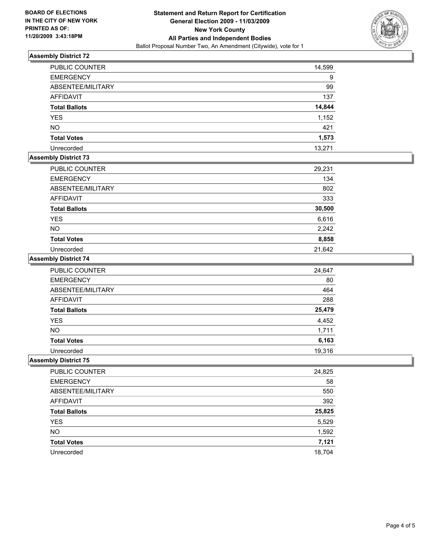

# **Assembly District 72**

| <b>PUBLIC COUNTER</b> | 14,599 |
|-----------------------|--------|
| <b>EMERGENCY</b>      | 9      |
| ABSENTEE/MILITARY     | 99     |
| <b>AFFIDAVIT</b>      | 137    |
| <b>Total Ballots</b>  | 14,844 |
| <b>YES</b>            | 1,152  |
| <b>NO</b>             | 421    |
| <b>Total Votes</b>    | 1,573  |
| Unrecorded            | 13,271 |

# **Assembly District 73**

| PUBLIC COUNTER       | 29,231 |
|----------------------|--------|
| <b>EMERGENCY</b>     | 134    |
| ABSENTEE/MILITARY    | 802    |
| <b>AFFIDAVIT</b>     | 333    |
| <b>Total Ballots</b> | 30,500 |
| <b>YES</b>           | 6,616  |
| <b>NO</b>            | 2,242  |
| <b>Total Votes</b>   | 8,858  |
| Unrecorded           | 21,642 |

# **Assembly District 74**

| <b>PUBLIC COUNTER</b> | 24,647 |
|-----------------------|--------|
| <b>EMERGENCY</b>      | 80     |
| ABSENTEE/MILITARY     | 464    |
| <b>AFFIDAVIT</b>      | 288    |
| <b>Total Ballots</b>  | 25,479 |
| <b>YES</b>            | 4,452  |
| <b>NO</b>             | 1,711  |
| <b>Total Votes</b>    | 6,163  |
| Unrecorded            | 19,316 |

# **Assembly District 75**

| PUBLIC COUNTER       | 24,825 |
|----------------------|--------|
| <b>EMERGENCY</b>     | 58     |
| ABSENTEE/MILITARY    | 550    |
| AFFIDAVIT            | 392    |
| <b>Total Ballots</b> | 25,825 |
| <b>YES</b>           | 5,529  |
| <b>NO</b>            | 1,592  |
| <b>Total Votes</b>   | 7,121  |
| Unrecorded           | 18.704 |